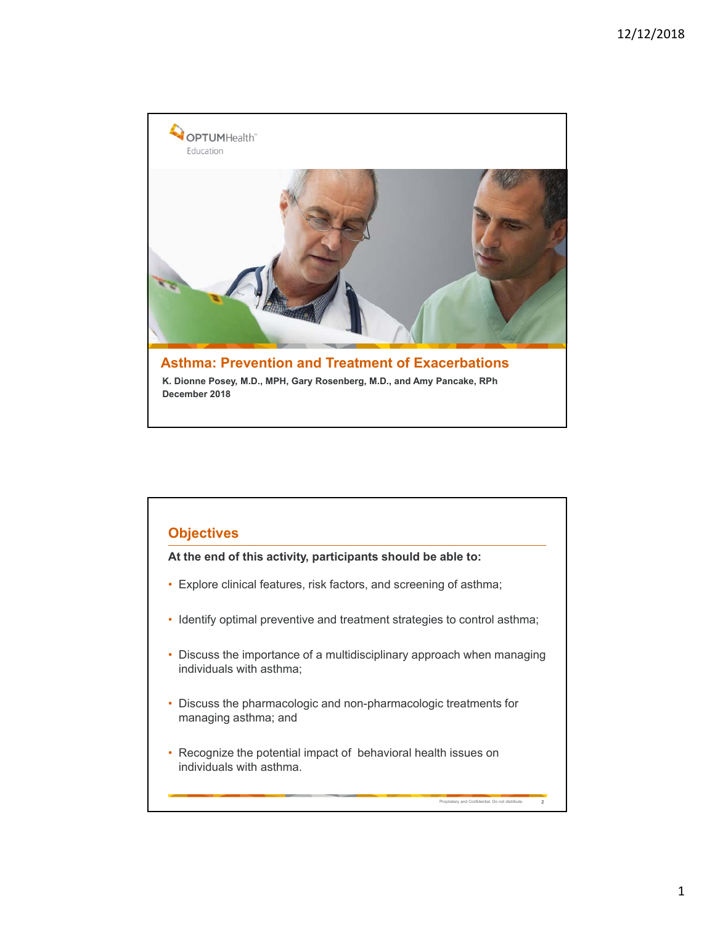

#### **Objectives**

**At the end of this activity, participants should be able to:**

- Explore clinical features, risk factors, and screening of asthma;
- Identify optimal preventive and treatment strategies to control asthma;
- Discuss the importance of a multidisciplinary approach when managing individuals with asthma;

Proprietary and Confidential. Do not distribute. **2**

- Discuss the pharmacologic and non-pharmacologic treatments for managing asthma; and
- Recognize the potential impact of behavioral health issues on individuals with asthma.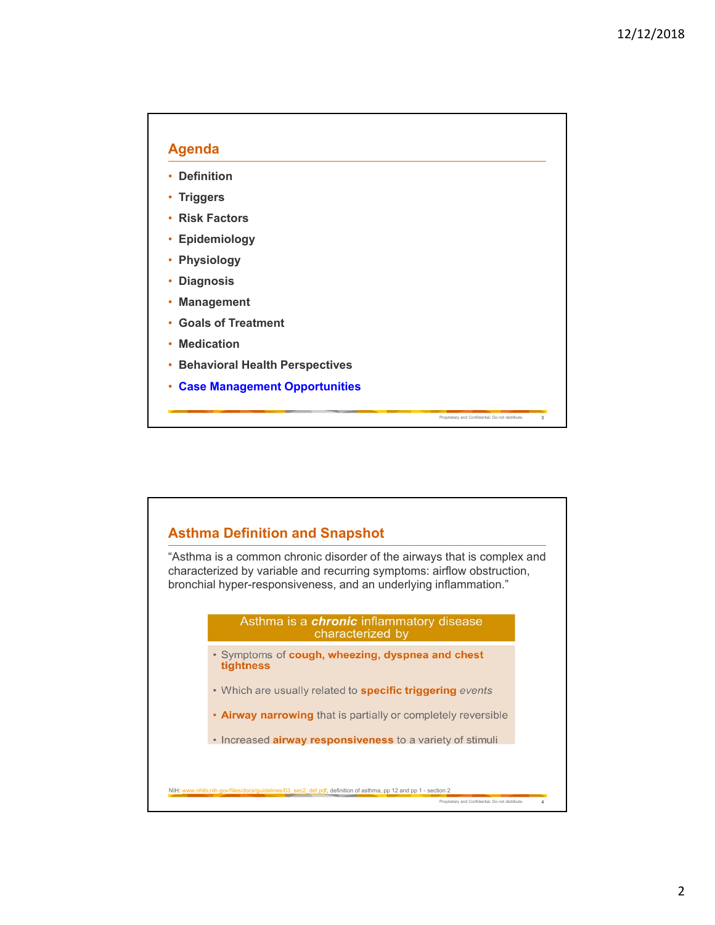

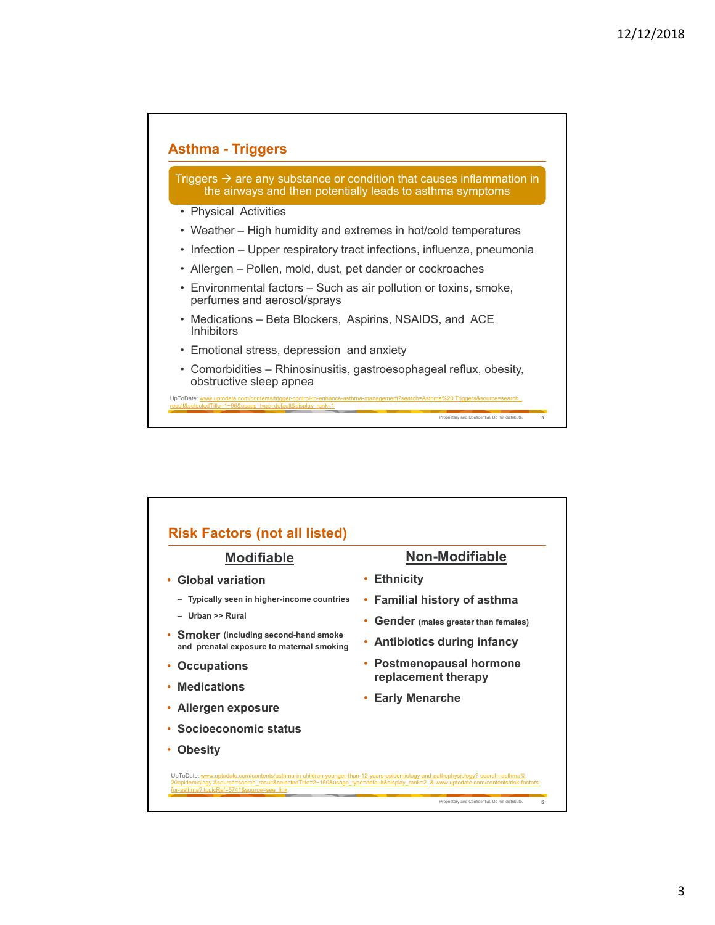### **Asthma - Triggers**

Triggers  $\rightarrow$  are any substance or condition that causes inflammation in the airways and then potentially leads to asthma symptoms

- Physical Activities
- Weather High humidity and extremes in hot/cold temperatures
- Infection Upper respiratory tract infections, influenza, pneumonia
- Allergen Pollen, mold, dust, pet dander or cockroaches
- Environmental factors Such as air pollution or toxins, smoke, perfumes and aerosol/sprays
- Medications Beta Blockers, Aspirins, NSAIDS, and ACE Inhibitors
- Emotional stress, depression and anxiety
- Comorbidities Rhinosinusitis, gastroesophageal reflux, obesity, obstructive sleep apnea

Proprietary and Confidential. Do not distribute. **5**

UpToDate: www.uptodate.com/contents/trigger-control-to-enhance-asthma-management?search=Asthma%20 Triggers&source=search\_ UpToDate: v<br>result&select

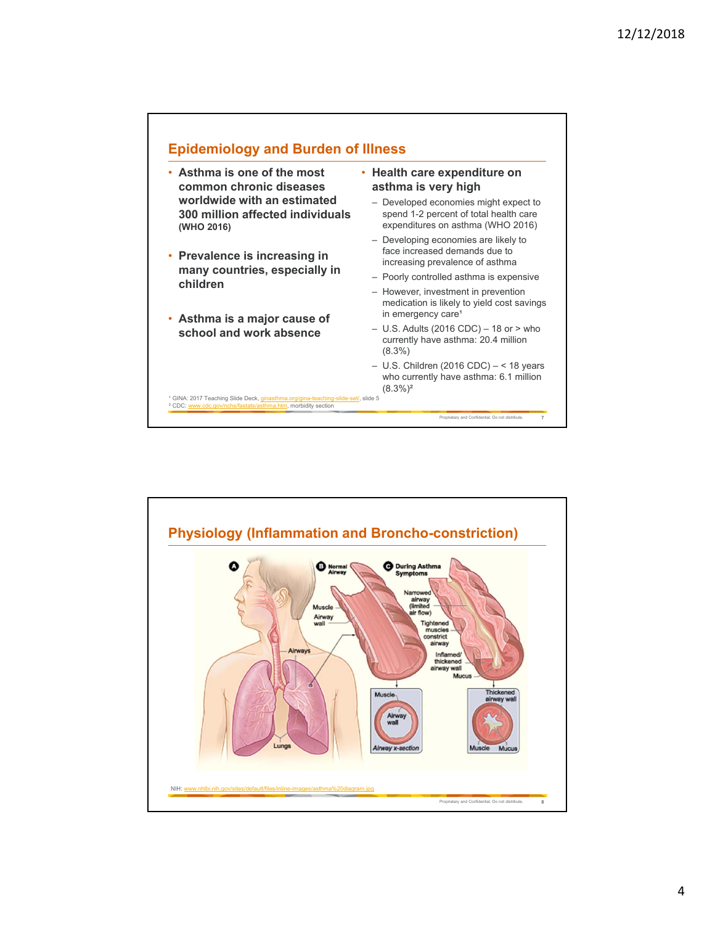

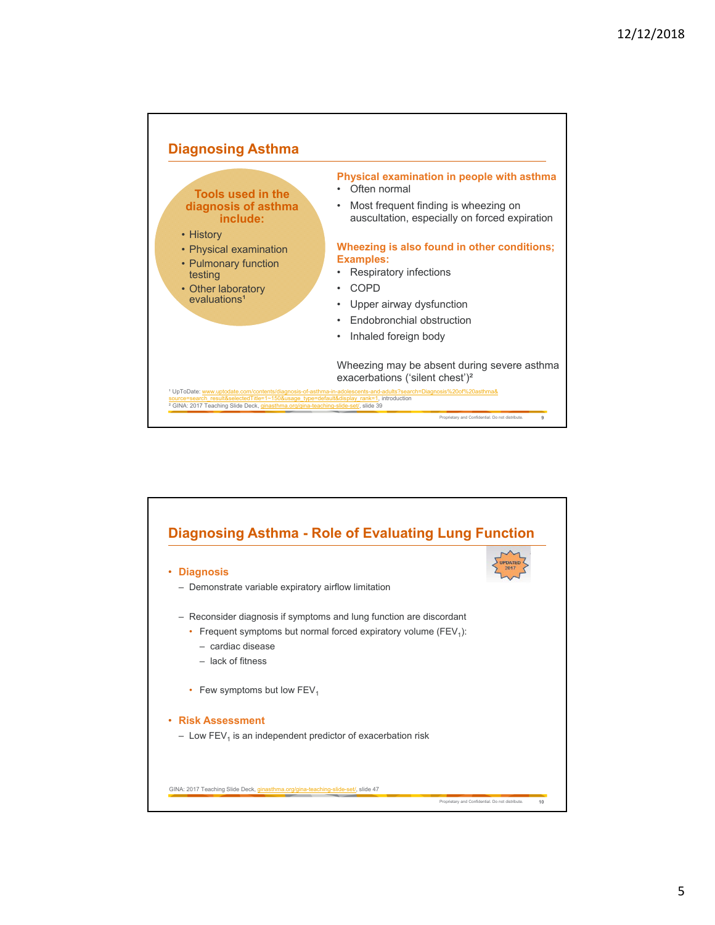

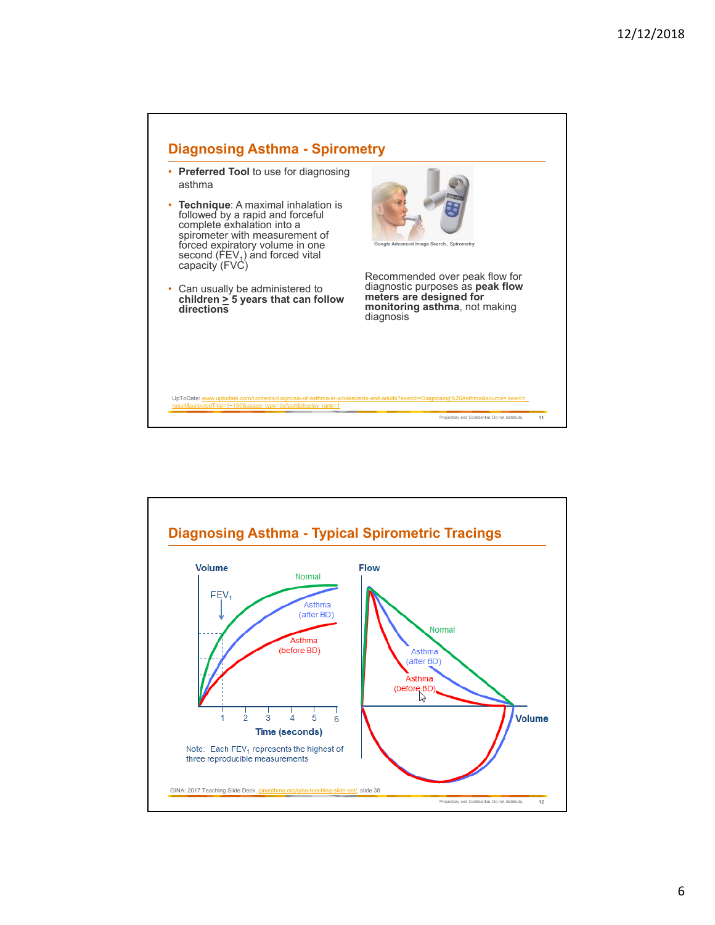

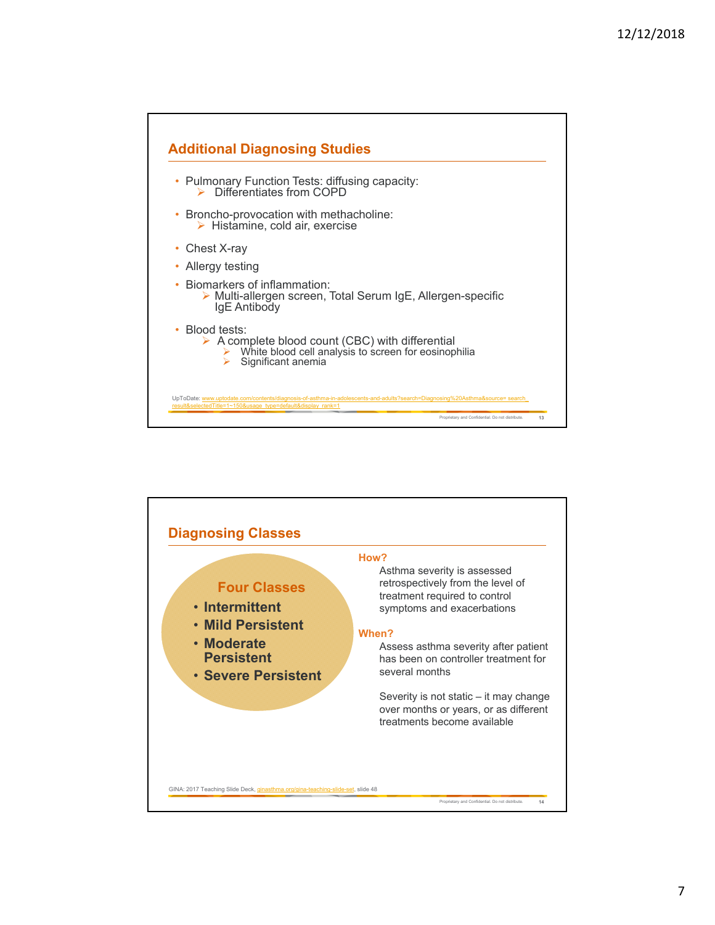

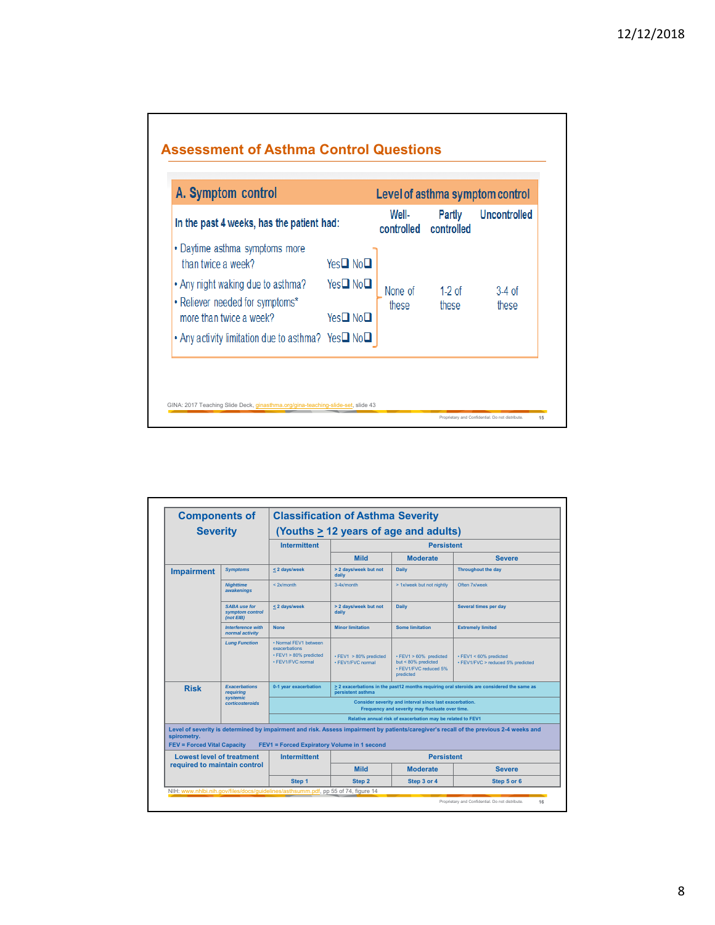

| <b>Components of</b>                              |                                                     | <b>Classification of Asthma Severity</b>                                                                                                |                                                                                                            |                                                                                              |                                                                                                                                        |  |  |
|---------------------------------------------------|-----------------------------------------------------|-----------------------------------------------------------------------------------------------------------------------------------------|------------------------------------------------------------------------------------------------------------|----------------------------------------------------------------------------------------------|----------------------------------------------------------------------------------------------------------------------------------------|--|--|
| <b>Severity</b>                                   |                                                     | (Youths > 12 years of age and adults)                                                                                                   |                                                                                                            |                                                                                              |                                                                                                                                        |  |  |
|                                                   |                                                     | <b>Intermittent</b>                                                                                                                     | <b>Persistent</b>                                                                                          |                                                                                              |                                                                                                                                        |  |  |
|                                                   |                                                     |                                                                                                                                         | <b>Mild</b>                                                                                                | <b>Moderate</b>                                                                              | <b>Severe</b>                                                                                                                          |  |  |
| <b>Impairment</b>                                 | <b>Symptoms</b>                                     | < 2 days/week                                                                                                                           | > 2 days/week but not<br>daily                                                                             | <b>Daily</b>                                                                                 | <b>Throughout the day</b>                                                                                                              |  |  |
|                                                   | <b>Nighttime</b><br>awakenings                      | $<$ 2 $x$ /month                                                                                                                        | $3-4x/m$ onth                                                                                              | > 1x/week but not nightly                                                                    | Often 7x/week                                                                                                                          |  |  |
|                                                   | <b>SABA use for</b><br>symptom control<br>(not EIB) | <2 days/week                                                                                                                            | > 2 days/week but not<br>daily                                                                             | <b>Daily</b>                                                                                 | Several times per day                                                                                                                  |  |  |
|                                                   | <b>Interference with</b><br>normal activity         | <b>None</b>                                                                                                                             | <b>Minor limitation</b>                                                                                    | <b>Some limitation</b>                                                                       | <b>Extremely limited</b>                                                                                                               |  |  |
|                                                   | <b>Lung Function</b>                                | . Normal FFV1 between<br>exacerbations<br>$\cdot$ FEV1 > 80% predicted<br>• FFV1/FVC normal                                             | $\cdot$ FEV1 $>80\%$ predicted<br>• FEV1/FVC normal                                                        | $\cdot$ FEV1 > 60% predicted<br>but $< 80\%$ predicted<br>• FEV1/FVC reduced 5%<br>predicted | $\cdot$ FEV1 < 60% predicted<br>· FEV1/FVC > reduced 5% predicted                                                                      |  |  |
| <b>Risk</b>                                       | <b>Exacerbations</b><br><b>requiring</b>            | > 2 exacerbations in the past12 months requiring oral steroids are considered the same as<br>0-1 year exacerbation<br>persistent asthma |                                                                                                            |                                                                                              |                                                                                                                                        |  |  |
|                                                   | <b>systemic</b><br>corticosteroids                  |                                                                                                                                         | Consider severity and interval since last exacerbation.<br>Frequency and severity may fluctuate over time. |                                                                                              |                                                                                                                                        |  |  |
|                                                   |                                                     | Relative annual risk of exacerbation may be related to FEV1                                                                             |                                                                                                            |                                                                                              |                                                                                                                                        |  |  |
| spirometry.<br><b>FEV = Forced Vital Capacity</b> |                                                     | <b>FEV1 = Forced Expiratory Volume in 1 second</b>                                                                                      |                                                                                                            |                                                                                              | Level of severity is determined by impairment and risk. Assess impairment by patients/caregiver's recall of the previous 2-4 weeks and |  |  |
| <b>Lowest level of treatment</b>                  |                                                     | <b>Intermittent</b>                                                                                                                     |                                                                                                            | <b>Persistent</b>                                                                            |                                                                                                                                        |  |  |
| required to maintain control                      |                                                     |                                                                                                                                         | <b>Mild</b>                                                                                                | <b>Moderate</b>                                                                              | <b>Severe</b>                                                                                                                          |  |  |
|                                                   |                                                     | Step 1                                                                                                                                  | Step <sub>2</sub>                                                                                          | Step 3 or 4                                                                                  | Step 5 or 6                                                                                                                            |  |  |
|                                                   |                                                     | NIH: www.nhlbi.nih.gov/files/docs/guidelines/asthsumm.pdf, pp 55 of 74, figure 14                                                       |                                                                                                            |                                                                                              |                                                                                                                                        |  |  |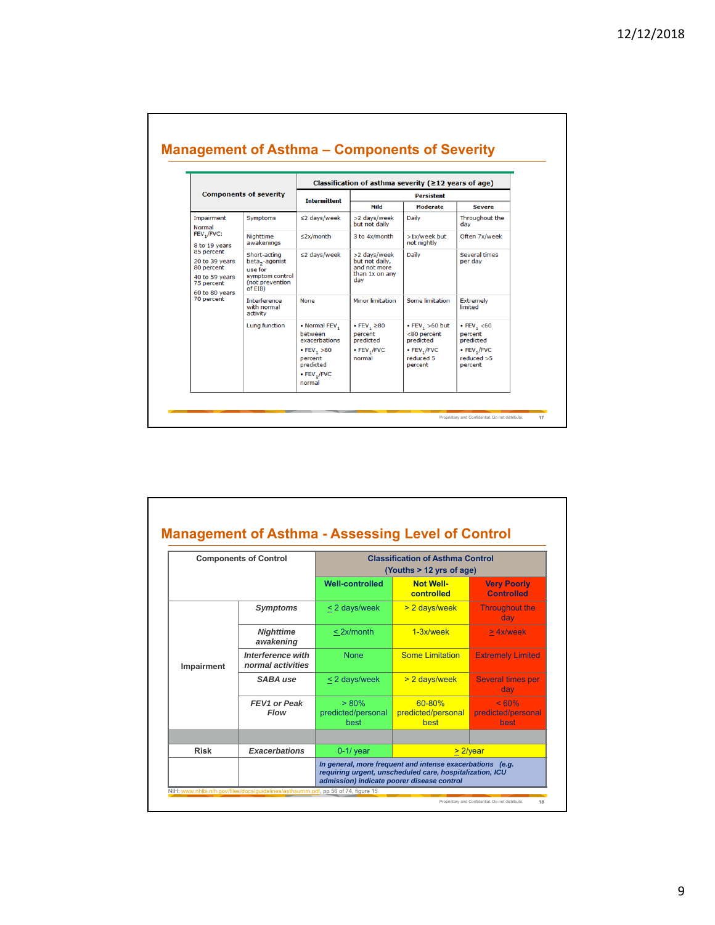|                                                                                              |                                                                                                        | Classification of asthma severity ( $\geq$ 12 years of age)                                                        |                                                                               |                                                                                          |                                                                                               |  |  |
|----------------------------------------------------------------------------------------------|--------------------------------------------------------------------------------------------------------|--------------------------------------------------------------------------------------------------------------------|-------------------------------------------------------------------------------|------------------------------------------------------------------------------------------|-----------------------------------------------------------------------------------------------|--|--|
| <b>Components of severity</b>                                                                |                                                                                                        | <b>Intermittent</b>                                                                                                | <b>Persistent</b>                                                             |                                                                                          |                                                                                               |  |  |
|                                                                                              |                                                                                                        |                                                                                                                    | Mild                                                                          | <b>Moderate</b>                                                                          | <b>Severe</b>                                                                                 |  |  |
| Impairment<br><b>Normal</b><br>FEV,/FVC:<br>8 to 19 years                                    | Symptoms                                                                                               | ≤2 days/week                                                                                                       | >2 days/week<br>but not daily                                                 | Daily                                                                                    | Throughout the<br>dav                                                                         |  |  |
|                                                                                              | Nighttime<br>awakenings                                                                                | $\leq$ 2x/month                                                                                                    | 3 to 4x/month                                                                 | >1x/week but<br>not nightly                                                              | Often 7x/week                                                                                 |  |  |
| 85 percent<br>20 to 39 years<br>80 percent<br>40 to 59 years<br>75 percent<br>60 to 80 years | Short-acting<br>beta <sub>2</sub> -agonist<br>use for<br>symptom control<br>(not prevention<br>of EIB) | ≤2 days/week                                                                                                       | >2 days/week<br>but not daily.<br>and not more<br>than 1x on any<br>day       | <b>Daily</b>                                                                             | <b>Several times</b><br>per day                                                               |  |  |
| 70 percent                                                                                   | Interference<br>with normal<br>activity                                                                | None                                                                                                               | <b>Minor limitation</b>                                                       | Some limitation                                                                          | <b>Extremely</b><br>limited                                                                   |  |  |
|                                                                                              | Lung function                                                                                          | • Normal FEV,<br>between<br>exacerbations<br>• $FEV_1 > 80$<br>percent<br>predicted<br>$\cdot$ FEV, /FVC<br>normal | $\cdot$ FEV, $\geq 80$<br>percent<br>predicted<br>$\cdot$ FEV, /FVC<br>normal | $\cdot$ FEV, $>60$ but<br><80 percent<br>predicted<br>• FEV,/FVC<br>reduced 5<br>percent | $\cdot$ FEV <sub>1</sub> <60<br>percent<br>predicted<br>• FEV, /FVC<br>reduced > 5<br>percent |  |  |

| <b>Components of Control</b>        |                                               | <b>Classification of Asthma Control</b><br>(Youths $> 12$ yrs of age) |                                      |                                         |  |
|-------------------------------------|-----------------------------------------------|-----------------------------------------------------------------------|--------------------------------------|-----------------------------------------|--|
|                                     |                                               | <b>Well-controlled</b>                                                | <b>Not Well-</b><br>controlled       | <b>Very Poorly</b><br><b>Controlled</b> |  |
|                                     | <b>Symptoms</b>                               | < 2 days/week                                                         | > 2 days/week                        | <b>Throughout the</b><br>dav            |  |
|                                     | <b>Nighttime</b><br>awakening                 | $<$ 2x/month                                                          | 1-3x/week                            | > 4x/week                               |  |
| Impairment                          | <b>Interference with</b><br>normal activities | <b>None</b>                                                           | Some Limitation                      | <b>Extremely Limited</b>                |  |
|                                     | SABA use                                      | < 2 days/week                                                         | > 2 days/week                        | <b>Several times per</b><br>day         |  |
|                                     | FEV1 or Peak<br><b>Flow</b>                   | $> 80\%$<br>predicted/personal<br>hest                                | 60-80%<br>predicted/personal<br>best | $< 60\%$<br>predicted/personal<br>best  |  |
|                                     |                                               |                                                                       |                                      |                                         |  |
| <b>Exacerbations</b><br><b>Risk</b> |                                               | $0-1$ / year                                                          |                                      | $> 2$ /year                             |  |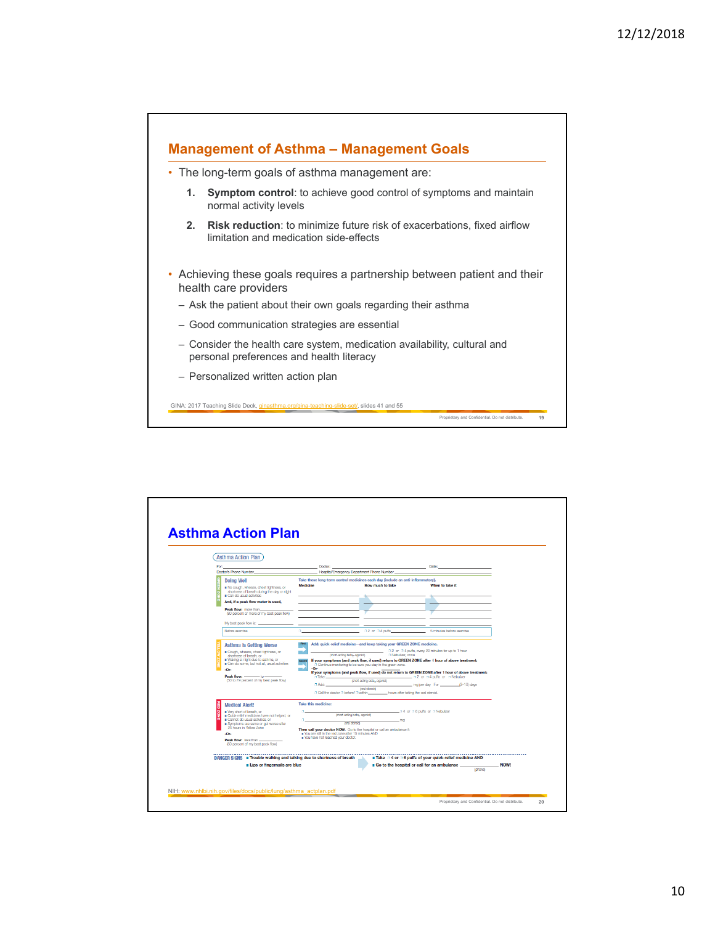

| For:                                                                                                                       | Doctor:                                              |                                                                                                                                                                                                       | Date:                                                                                                                                                               |  |
|----------------------------------------------------------------------------------------------------------------------------|------------------------------------------------------|-------------------------------------------------------------------------------------------------------------------------------------------------------------------------------------------------------|---------------------------------------------------------------------------------------------------------------------------------------------------------------------|--|
| Doctor's Phone Number                                                                                                      |                                                      | Hospital/Emergency Department Phone Number                                                                                                                                                            |                                                                                                                                                                     |  |
| <b>Doing Well</b><br>No cough, wheeze, chest tightness, or<br>shortness of breath during the day or night                  | Medicine                                             | Take these long-term control medicines each day (include an anti-inflammatory).<br>How much to take                                                                                                   | When to take it                                                                                                                                                     |  |
| Can do usual activities                                                                                                    |                                                      |                                                                                                                                                                                                       |                                                                                                                                                                     |  |
| And, if a peak flow meter is used,                                                                                         |                                                      |                                                                                                                                                                                                       |                                                                                                                                                                     |  |
| Peak flow: more than<br>(80 percent or more of my best pask flow)                                                          |                                                      |                                                                                                                                                                                                       |                                                                                                                                                                     |  |
| My best peak flow is:                                                                                                      |                                                      |                                                                                                                                                                                                       |                                                                                                                                                                     |  |
| Before exercise                                                                                                            |                                                      | n2 or n4 puffs.                                                                                                                                                                                       | 5 minutes before exercise                                                                                                                                           |  |
| Can do some, but not all, usual activities<br>-On-<br>Peak flow: ________ to __<br>(50 to 79 percent of my best peak flow) | -Or-<br>m.<br>7 Takes<br>D Add:                      | D Continue monitoring to be sure you stay in the green zone.<br>(short-acting belay agonts)<br>coral steroidi<br>n Call the doctor n before/ n within __________ hours after taking the oral steroid. | If your symptoms (and peak flow, if used) do not return to GREEN ZONE after 1 hour of above treatment:<br>32 or 34 puffs or 3 Nobulizor<br>ma per day For B-10 days |  |
| <b>Medical Alert!</b><br>Ë                                                                                                 | Take this medicine:                                  |                                                                                                                                                                                                       |                                                                                                                                                                     |  |
| ă<br>Werv short of breath, or<br>Quick-relief medicines have not helped, or                                                |                                                      | (short-acting betay-agonts)                                                                                                                                                                           | a 4 or a 6 putts or a Nebulaer                                                                                                                                      |  |
| Garnot do usual activities, or<br>Symptoms are same or get worse after                                                     | loral steroids                                       | <b>TTKS</b>                                                                                                                                                                                           |                                                                                                                                                                     |  |
| 24 hours in Yollow Zono<br>$-Or-$                                                                                          | . You are still in the red zone after 15 minutes AND | Then call your doctor NOW. Go to the hospital or call an ambulance it:                                                                                                                                |                                                                                                                                                                     |  |
|                                                                                                                            | . You have not reached your doctor.                  |                                                                                                                                                                                                       |                                                                                                                                                                     |  |
| Peak flow: less than<br>(50 percent of my best peak flow)                                                                  |                                                      |                                                                                                                                                                                                       |                                                                                                                                                                     |  |
| DANGER SIGNS <b>E</b> Trouble walking and talking due to shortness of breath                                               |                                                      |                                                                                                                                                                                                       | <b>E</b> Take $\Box$ 4 or $\Box$ 6 puffs of your quick-relief medicine AND                                                                                          |  |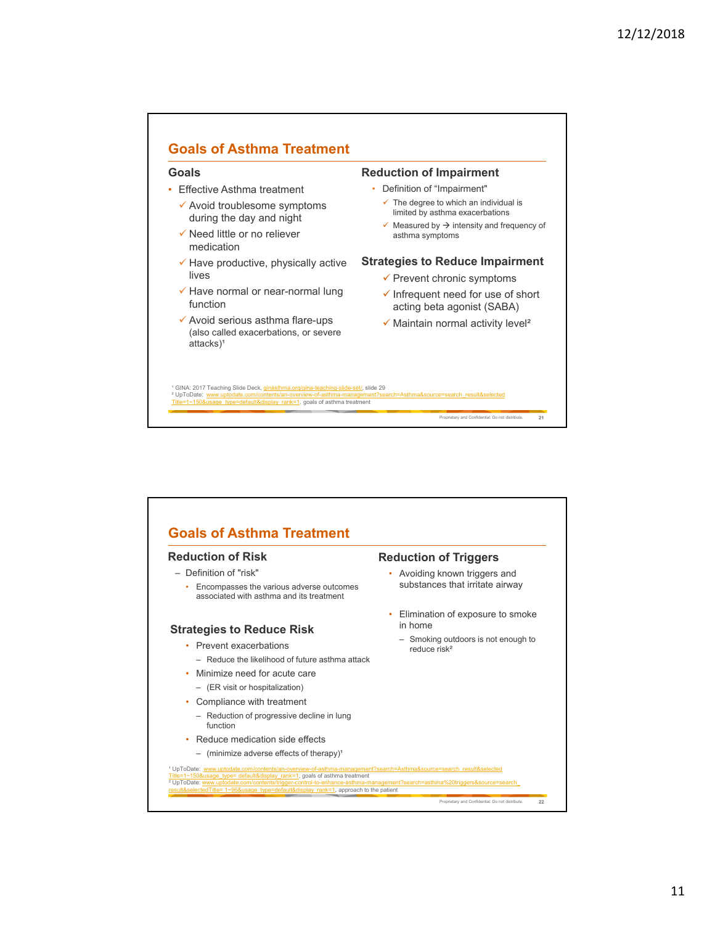

| <b>Reduction of Risk</b>                                                                | <b>Reduction of Triggers</b>                                        |  |  |
|-----------------------------------------------------------------------------------------|---------------------------------------------------------------------|--|--|
| - Definition of "risk"                                                                  | Avoiding known triggers and<br>٠<br>substances that irritate airway |  |  |
| Encompasses the various adverse outcomes<br>associated with asthma and its treatment    |                                                                     |  |  |
|                                                                                         | Elimination of exposure to smoke<br>۰                               |  |  |
| <b>Strategies to Reduce Risk</b>                                                        | in home                                                             |  |  |
| Prevent exacerbations<br>$\bullet$<br>$-$ Reduce the likelihood of future asthma attack | Smoking outdoors is not enough to<br>reduce risk <sup>2</sup>       |  |  |
|                                                                                         |                                                                     |  |  |
| Minimize need for acute care<br>٠                                                       |                                                                     |  |  |
| - (ER visit or hospitalization)                                                         |                                                                     |  |  |
| Compliance with treatment<br>٠                                                          |                                                                     |  |  |
| - Reduction of progressive decline in lung<br>function                                  |                                                                     |  |  |
| Reduce medication side effects<br>٠                                                     |                                                                     |  |  |
| $-$ (minimize adverse effects of therapy) <sup>1</sup>                                  |                                                                     |  |  |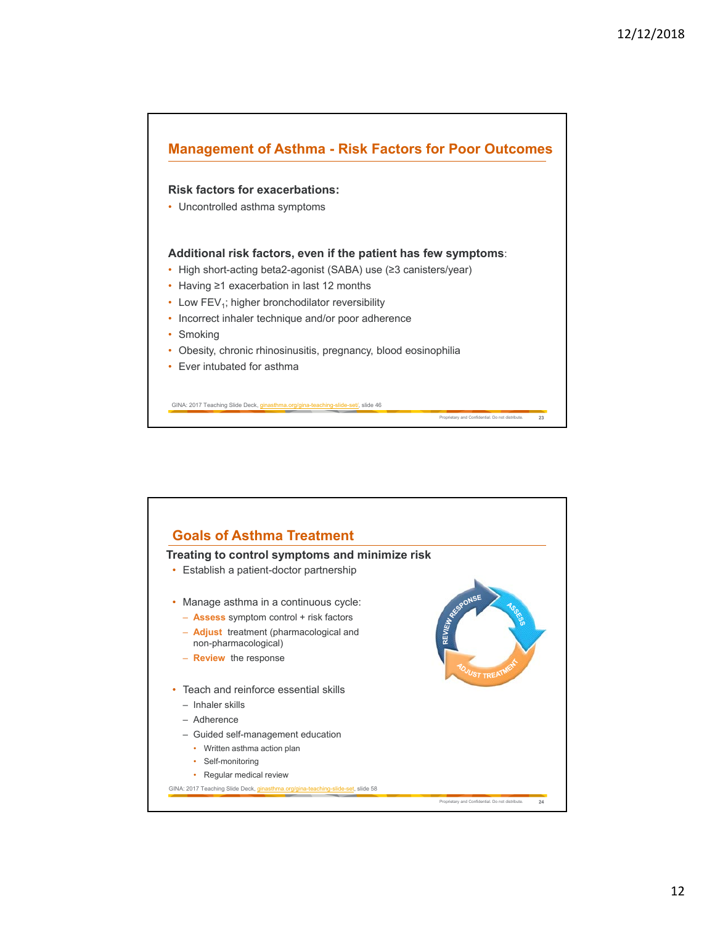

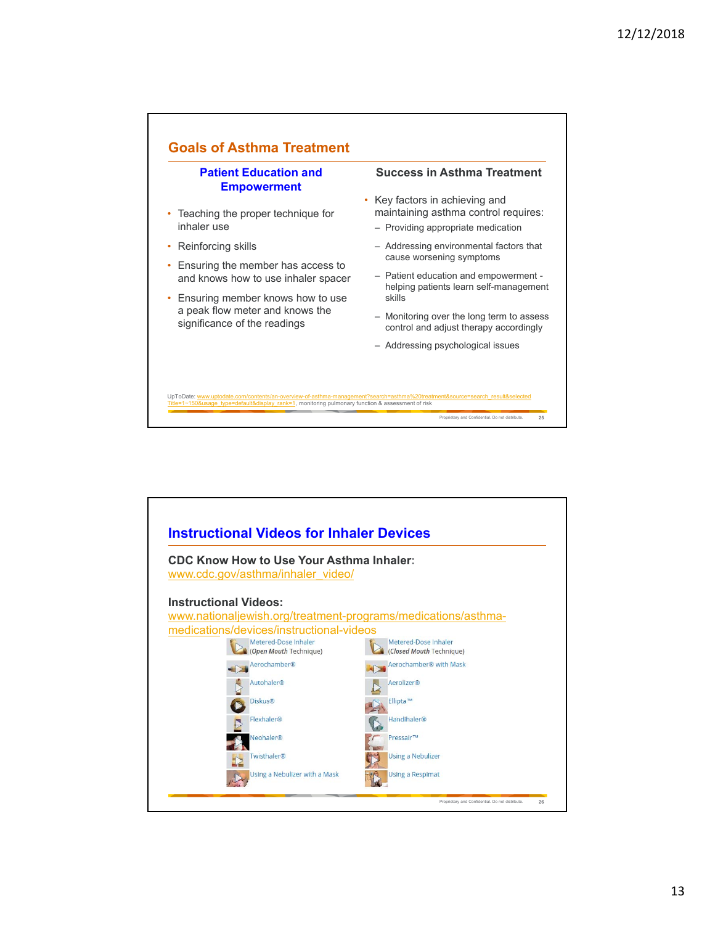

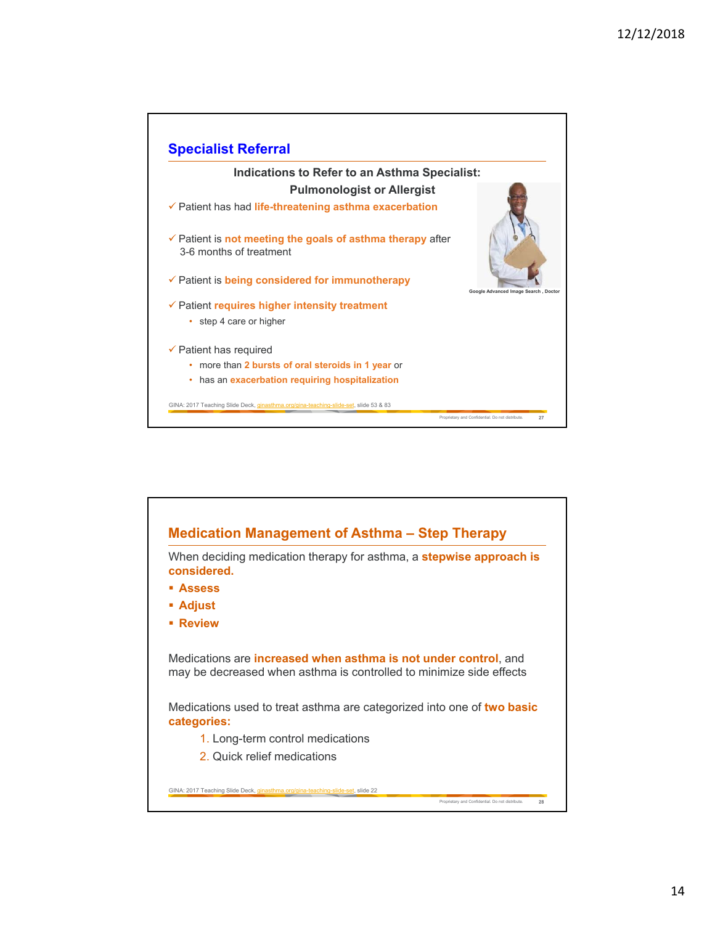

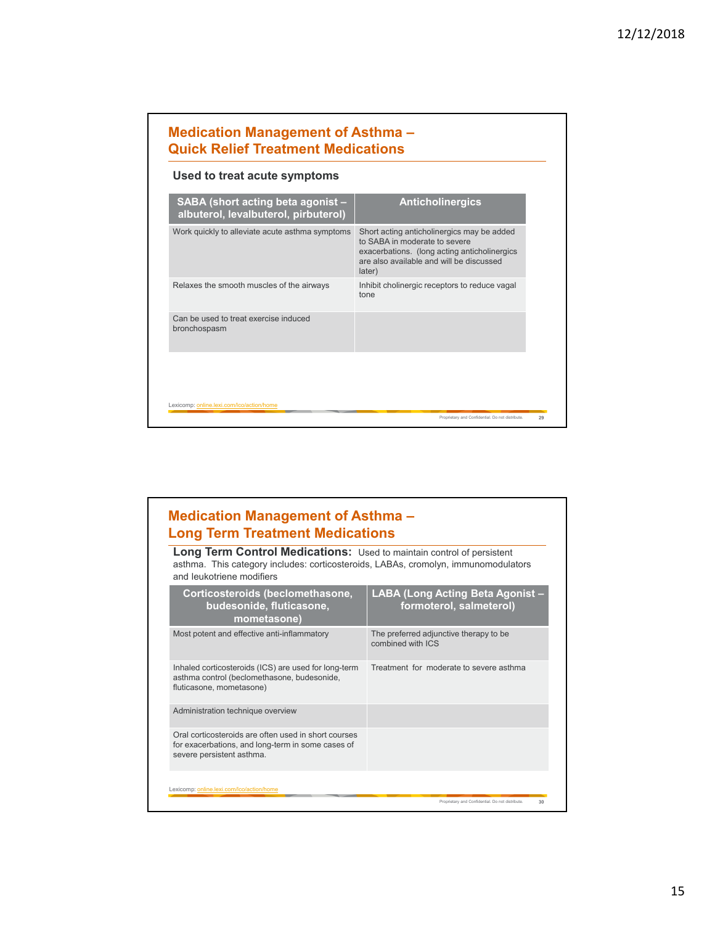| Used to treat acute symptoms                                              |                                                                                                                                                                                   |  |  |  |
|---------------------------------------------------------------------------|-----------------------------------------------------------------------------------------------------------------------------------------------------------------------------------|--|--|--|
| SABA (short acting beta agonist -<br>albuterol, levalbuterol, pirbuterol) | <b>Anticholinergics</b>                                                                                                                                                           |  |  |  |
| Work quickly to alleviate acute asthma symptoms                           | Short acting anticholinergics may be added<br>to SABA in moderate to severe<br>exacerbations. (long acting anticholinergics<br>are also available and will be discussed<br>later) |  |  |  |
| Relaxes the smooth muscles of the airways                                 | Inhibit cholinergic receptors to reduce vagal<br>tone                                                                                                                             |  |  |  |
| Can be used to treat exercise induced<br>bronchospasm                     |                                                                                                                                                                                   |  |  |  |

### **Medication Management of Asthma – Long Term Treatment Medications**

**Long Term Control Medications:** Used to maintain control of persistent asthma. This category includes: corticosteroids, LABAs, cromolyn, immunomodulators and leukotriene modifiers

| Corticosteroids (beclomethasone,<br>budesonide, fluticasone,<br>mometasone)                                                            | LABA (Long Acting Beta Agonist -<br>formoterol, salmeterol) |
|----------------------------------------------------------------------------------------------------------------------------------------|-------------------------------------------------------------|
| Most potent and effective anti-inflammatory                                                                                            | The preferred adjunctive therapy to be<br>combined with ICS |
| Inhaled corticosteroids (ICS) are used for long-term<br>asthma control (beclomethasone, budesonide,<br>fluticasone, mometasone)        | Treatment for moderate to severe asthma                     |
| Administration technique overview                                                                                                      |                                                             |
| Oral corticosteroids are often used in short courses<br>for exacerbations, and long-term in some cases of<br>severe persistent asthma. |                                                             |
| Lexicomp: online.lexi.com/lco/action/home                                                                                              | Proprietary and Confidential. Do not distribute.<br>30      |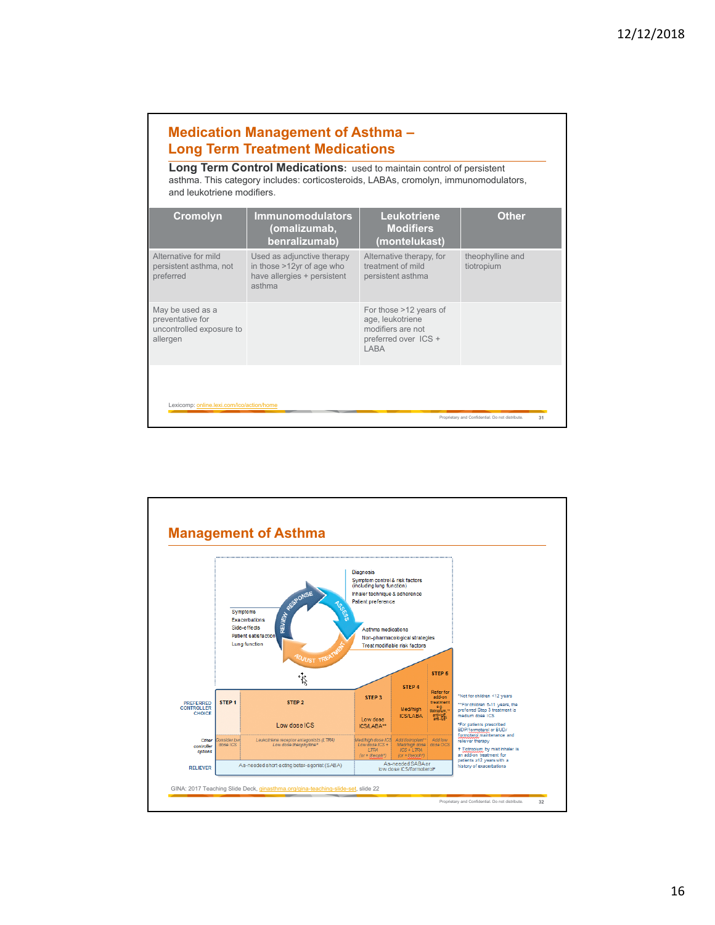## **Medication Management of Asthma – Long Term Treatment Medications**

**Long Term Control Medications:** used to maintain control of persistent asthma. This category includes: corticosteroids, LABAs, cromolyn, immunomodulators, and leukotriene modifiers.

| <b>Cromolyn</b>                                                              | <b>Immunomodulators</b><br>(omalizumab,<br>benralizumab)                                         | <b>Leukotriene</b><br><b>Modifiers</b><br>(montelukast)                                          | <b>Other</b>                                           |
|------------------------------------------------------------------------------|--------------------------------------------------------------------------------------------------|--------------------------------------------------------------------------------------------------|--------------------------------------------------------|
| Alternative for mild<br>persistent asthma, not<br>preferred                  | Used as adjunctive therapy<br>in those >12yr of age who<br>have allergies + persistent<br>asthma | Alternative therapy, for<br>treatment of mild<br>persistent asthma                               | theophylline and<br>tiotropium                         |
| May be used as a<br>preventative for<br>uncontrolled exposure to<br>allergen |                                                                                                  | For those >12 years of<br>age, leukotriene<br>modifiers are not<br>preferred over ICS +<br>I ABA |                                                        |
| Lexicomp: online.lexi.com/lco/action/home                                    |                                                                                                  |                                                                                                  | Proprietary and Confidential. Do not distribute.<br>31 |

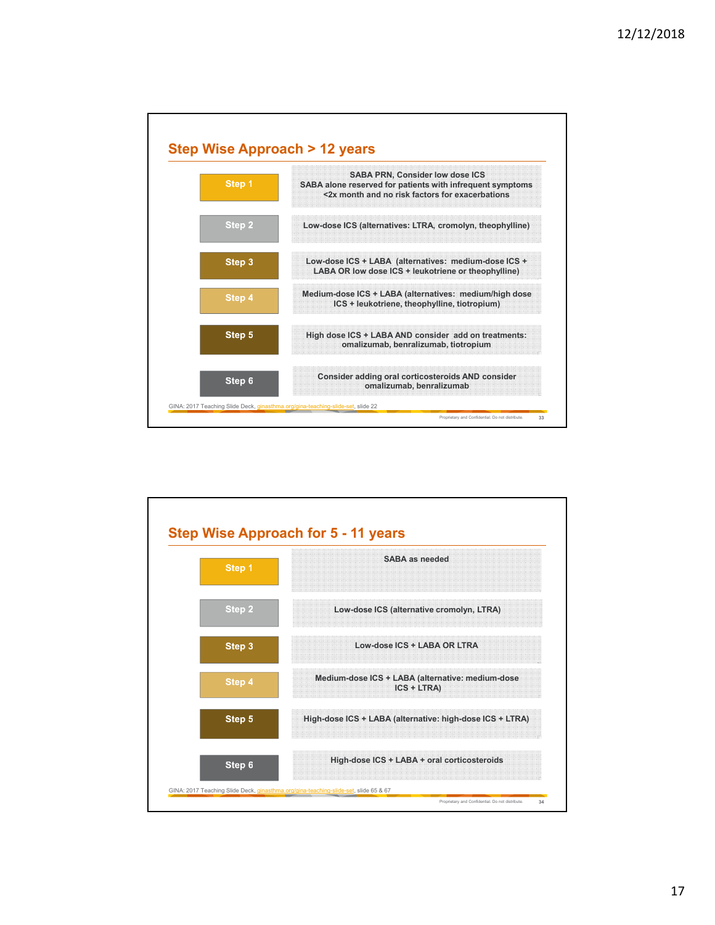

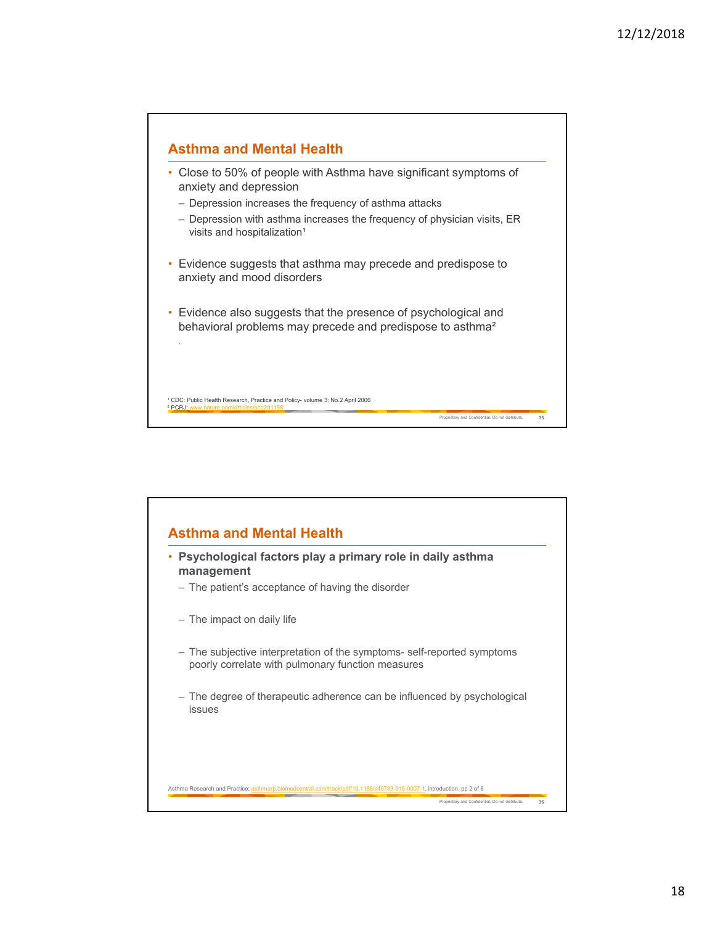

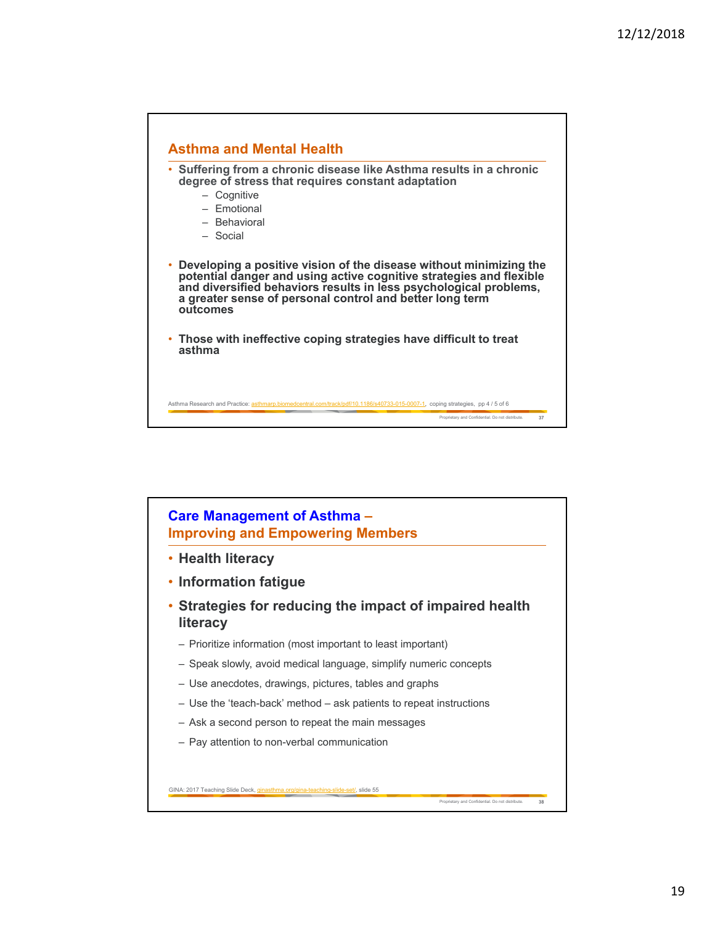

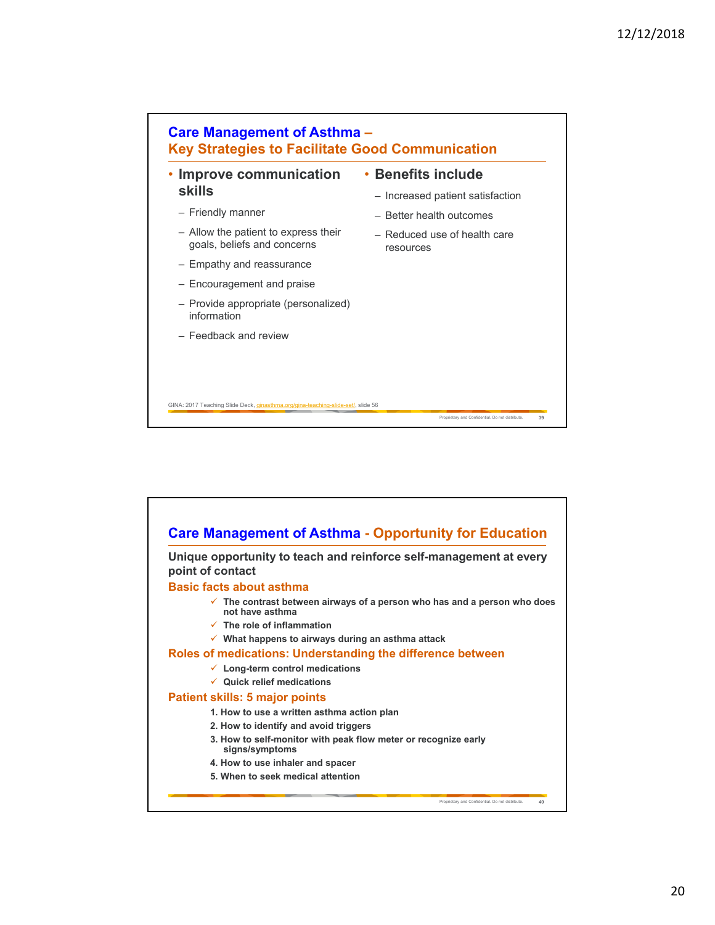

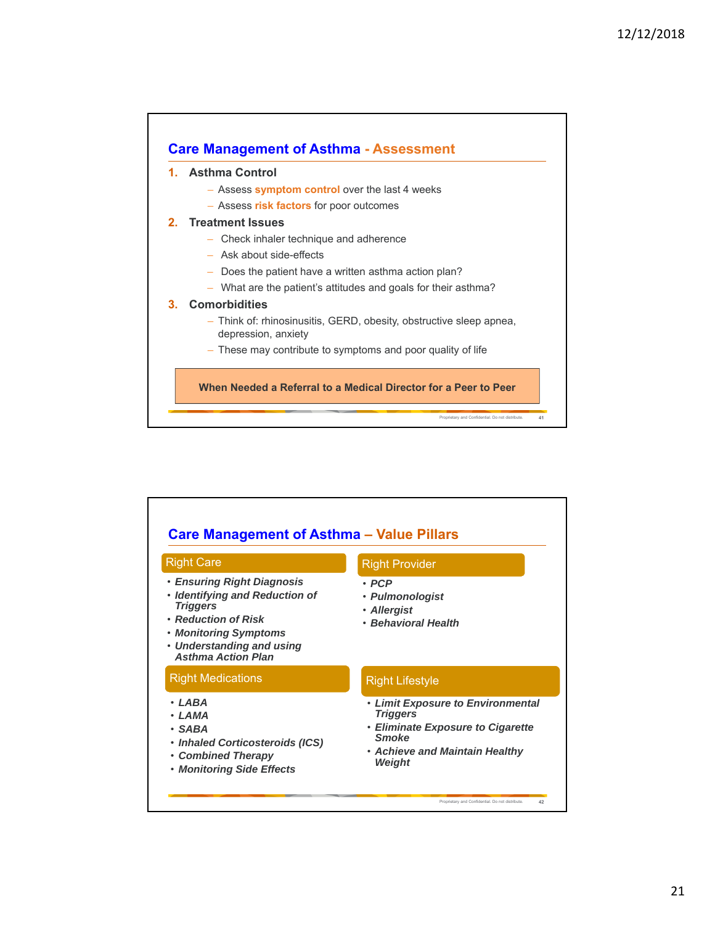

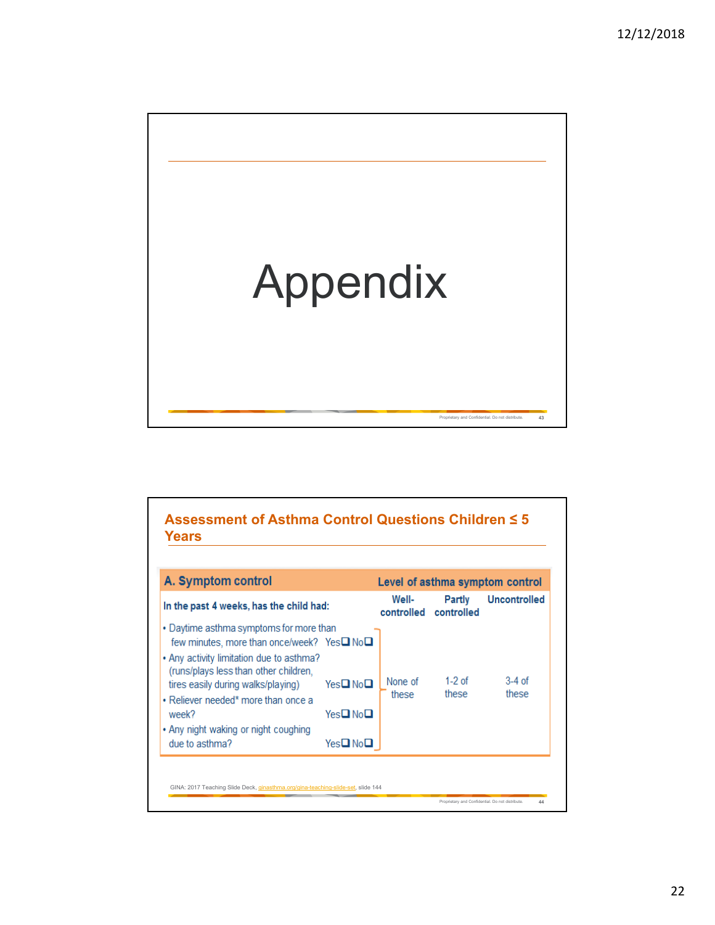

| A. Symptom control                                                                                                                                                                                                                                                                                                         |                                                |                     |                         | Level of asthma symptom control |
|----------------------------------------------------------------------------------------------------------------------------------------------------------------------------------------------------------------------------------------------------------------------------------------------------------------------------|------------------------------------------------|---------------------|-------------------------|---------------------------------|
| In the past 4 weeks, has the child had:                                                                                                                                                                                                                                                                                    |                                                | Well-<br>controlled | Partly<br>controlled    | <b>Uncontrolled</b>             |
| • Daytime asthma symptoms for more than<br>few minutes, more than once/week? Yes□ No□<br>• Any activity limitation due to asthma?<br>(runs/plays less than other children,<br>tires easily during walks/playing)<br>• Reliever needed* more than once a<br>week?<br>• Any night waking or night coughing<br>due to asthma? | Yes□No□<br>Yes□No□<br>Yes <b>❑</b> No <b>❑</b> | None of<br>these    | 1-2 $\alpha$ f<br>these | $3-4$ of<br>these               |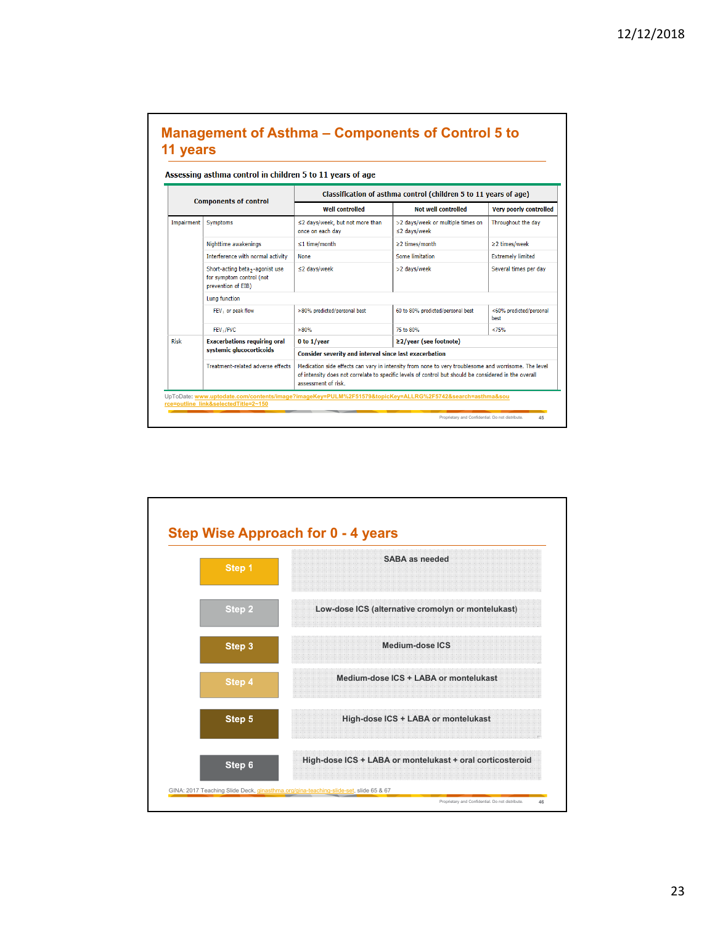|             | Assessing asthma control in children 5 to 11 years of age                        |                                                                                                                                                                                                                                      |                                                         |                                 |  |  |
|-------------|----------------------------------------------------------------------------------|--------------------------------------------------------------------------------------------------------------------------------------------------------------------------------------------------------------------------------------|---------------------------------------------------------|---------------------------------|--|--|
|             | <b>Components of control</b>                                                     | Classification of asthma control (children 5 to 11 years of age)                                                                                                                                                                     |                                                         |                                 |  |  |
|             |                                                                                  | <b>Well controlled</b>                                                                                                                                                                                                               | <b>Not well controlled</b>                              | <b>Very poorly controlled</b>   |  |  |
| Impairment  | <b>Symptoms</b>                                                                  | ≤2 days/week, but not more than<br>once on each day                                                                                                                                                                                  | >2 days/week or multiple times on<br>$\leq$ 2 days/week | Throughout the day              |  |  |
|             | Nighttime awakenings                                                             | $\leq$ 1 time/month                                                                                                                                                                                                                  | ≥2 times/month                                          | ≥2 times/week                   |  |  |
|             | Interference with normal activity                                                | <b>None</b>                                                                                                                                                                                                                          | <b>Some limitation</b>                                  | <b>Extremely limited</b>        |  |  |
|             | Short-acting beta,-agonist use<br>for symptom control (not<br>prevention of EIB) | $\leq$ 2 days/week                                                                                                                                                                                                                   | >2 days/week                                            | Several times per day           |  |  |
|             | Lung function                                                                    |                                                                                                                                                                                                                                      |                                                         |                                 |  |  |
|             | FEV <sub>1</sub> or peak flow                                                    | >80% predicted/personal best                                                                                                                                                                                                         | 60 to 80% predicted/personal best                       | <60% predicted/personal<br>best |  |  |
|             | FEV, /FVC                                                                        | >80%                                                                                                                                                                                                                                 | 75 to 80%                                               | < 75%                           |  |  |
| <b>Risk</b> | <b>Exacerbations requiring oral</b>                                              | 0 to 1/year                                                                                                                                                                                                                          | ≥2/vear (see footnote)                                  |                                 |  |  |
|             | systemic glucocorticoids                                                         | <b>Consider severity and interval since last exacerbation</b>                                                                                                                                                                        |                                                         |                                 |  |  |
|             | Treatment-related adverse effects                                                | Medication side effects can vary in intensity from none to very troublesome and worrisome. The level<br>of intensity does not correlate to specific levels of control but should be considered in the overall<br>assessment of risk. |                                                         |                                 |  |  |

# **Management of Asthma – Components of Control 5 to**